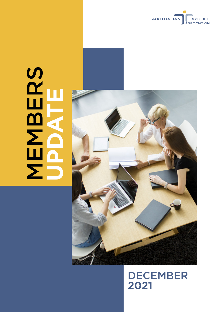

# SCHOOL NEWS **MBERS UPDATE**



# DECEMBER **2021**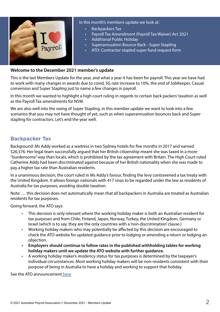

#### **Welcome to the December 2021 member's update**

This is the last Members Update for the year, and what a year it has been for payroll. This year we have had to work with many changes in awards due to covid, SG rate increase to 10%, the end of JobKeeper, Casual conversion and Super Stapling just to name a few changes in payroll.

In this month we wanted to highlight a high court ruling in regards to certain back packers' taxation as well as the Payroll Tax amendments for NSW.

We are also well into the swing of Super Stapling, in this member update we want to look into a few scenarios that you may not have thought of yet, such as when superannuation bounces back and Super stapling for contractors. Let's end the year well.

#### Backpacker Tax

Background: Ms Addy worked as a waitress in two Sydney hotels for five months in 2017 and earned \$26,576. Her legal team successfully argued that her British citizenship meant she was taxed in a more "burdensome" way than locals, which is prohibited by the tax agreement with Britain. The High Court ruled Catherine Addy had been discriminated against because of her British nationality when she was made to pay a higher tax rate than Australian residents.

In a unanimous decision, the court ruled in Ms Addy's favour, finding the levy contravened a tax treaty with the United Kingdom. It allows foreign nationals with 417 visas to be regarded under the law as residents of Australia for tax purposes, avoiding double taxation.

Note: … this decision does not automatically mean that all backpackers in Australia are treated as Australian residents for tax purposes.

Going forward, the ATO says:

- This decision is only relevant where the working holiday maker is both an Australian resident for tax purposes and from Chile, Finland, Japan, Norway, Turkey, the United Kingdom, Germany or Israel (which is to say, they are the only countries with a 'non-discrimination' clause.)
- Working holiday makers who may potentially be affected by this decision are encouraged to check the ATO website for updated guidance prior to lodging or amending a return or lodging an objection.
- **• Employers should continue to follow rates in the published withholding tables for working holiday makers until we update the ATO website with further guidance.**
- A working holiday maker's residency status for tax purposes is determined by the taxpayer's individual circumstances. Most working holiday makers will be non-residents consistent with their purpose of being in Australia to have a holiday and working to support that holiday.

See the ATO announcement [here](https://www.ato.gov.au/Media-centre/Media-releases/High-Court-decision-in-the-matter-of-Addy-v-Commissioner-of-Taxation/)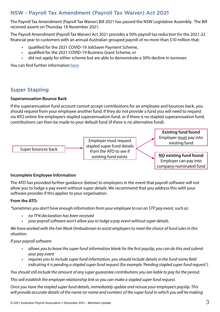# NSW - Payroll Tax Amendment (Payroll Tax Waiver) Act 2021

The Payroll Tax Amendment (Payroll Tax Waiver) Bill 2021 has passed the NSW Legislative Assembly. The Bill received assent on Thursday 18 November 2021.

The Payroll Amendment (Payroll Tax Waiver) Act 2021 provides a 50% payroll tax reduction for the 2021-22 financial year to customers with an annual Australian grouped payroll of no more than \$10 million that:

- qualified for the 2021 COVID-19 JobSaver Payment Scheme,
- qualified for the 2021 COVID-19 Business Grant Scheme, or
- did not apply for either scheme but are able to demonstrate a 30% decline in turnover.

You can find further information [here](https://www.revenue.nsw.gov.au/news-media-releases/covid-19-tax-relief-measures/covid-19-coronavirus-and-payroll-tax)

# Super Stapling

#### **Superannuation Bounce Back**

If the superannuation fund account cannot accept contributions for an employee and bounces back, you should request from your employee another fund. If they do not provide a fund you will need to request via ATO online the employee's stapled superannuation fund, or if there is no stapled superannuation fund, contributions can then be made to your default fund (if there is no alternative fund).



#### **Incomplete Employee Information**

The ATO has provided further guidance (below) to employers in the event that payroll software will not allow you to lodge a pay event without super details. We recommend that you address this with your software provider if this applies to your organisation.

#### **From the ATO:**

*"Sometimes you don't have enough information from your employee to run an STP pay event, such as:*

- *• no TFN declaration has been received*
- *• your payroll software won't allow you to lodge a pay event without super details.*

*We have worked with the Fair Work Ombudsman to assist employers to meet the choice of fund rules in this situation.*

#### *If your payroll software:*

- *• allows you to leave the super fund information blank for the first payslip, you can do this and submit your pay event*
- *• requires you to include super fund information, you should include details in the fund name field indicating it is pending a stapled super fund request (for example 'Pending stapled super fund request').*

*You should still include the amount of any super guarantee contributions you are liable to pay for the period.*

*This will establish the employer relationship link so you can make a stapled super fund request.*

*Once you have the stapled super fund details, immediately update and reissue your employee's payslip. This will provide accurate details of the name (or name and number) of the super fund to which you will be making* 

company-nominated fund